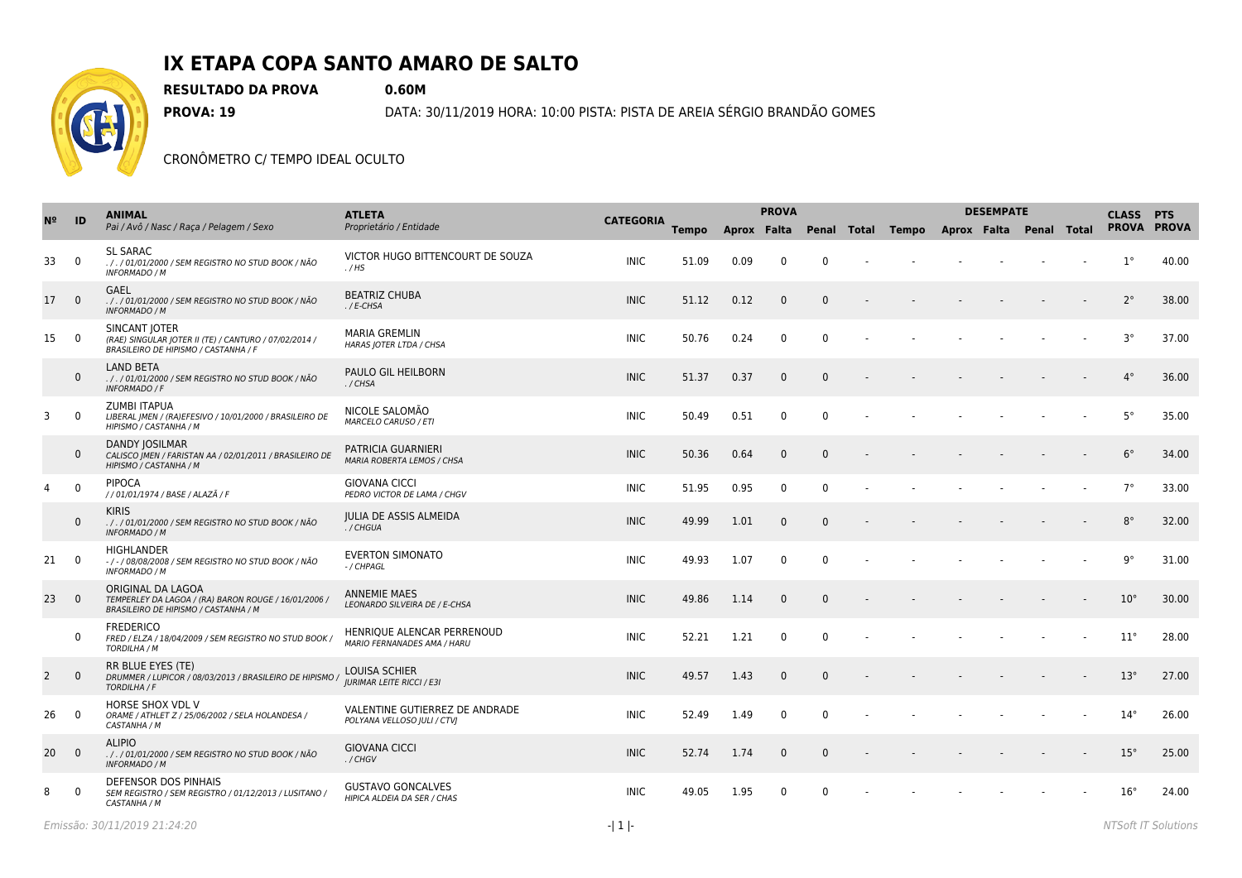

## **IX ETAPA COPA SANTO AMARO DE SALTO**

**RESULTADO DA PROVA 0.60M**

**PROVA: 19** DATA: 30/11/2019 HORA: 10:00 PISTA: PISTA DE AREIA SÉRGIO BRANDÃO GOMES

CRONÔMETRO C/ TEMPO IDEAL OCULTO

|                | ID                      | <b>ANIMAL</b><br>Pai / Avô / Nasc / Raça / Pelagem / Sexo                                                         | <b>ATLETA</b>                                                    | <b>CATEGORIA</b> |              |             | <b>PROVA</b> |              |                                           | <b>DESEMPATE</b> | <b>CLASS PTS</b> |  |              |       |
|----------------|-------------------------|-------------------------------------------------------------------------------------------------------------------|------------------------------------------------------------------|------------------|--------------|-------------|--------------|--------------|-------------------------------------------|------------------|------------------|--|--------------|-------|
|                |                         |                                                                                                                   | Proprietário / Entidade                                          |                  | <b>Tempo</b> | Aprox Falta |              |              | Penal Total Tempo Aprox Falta Penal Total |                  |                  |  | PROVA PROVA  |       |
| 33             | $\overline{0}$          | <b>SL SARAC</b><br>././01/01/2000 / SEM REGISTRO NO STUD BOOK / NÃO<br><b>INFORMADO / M</b>                       | VICTOR HUGO BITTENCOURT DE SOUZA<br>. / HS                       | <b>INIC</b>      | 51.09        | 0.09        | $\mathbf{0}$ | $\Omega$     |                                           |                  |                  |  | $1^{\circ}$  | 40.00 |
| 17             | $\overline{0}$          | <b>GAEL</b><br>. / . / 01/01/2000 / SEM REGISTRO NO STUD BOOK / NÃO<br><b>INFORMADO / M</b>                       | <b>BEATRIZ CHUBA</b><br>$.$ / E-CHSA                             | <b>INIC</b>      | 51.12        | 0.12        | $\mathbf{0}$ | $\Omega$     |                                           |                  |                  |  | $2^{\circ}$  | 38.00 |
| 15             | $\overline{0}$          | SINCANT JOTER<br>(RAE) SINGULAR JOTER II (TE) / CANTURO / 07/02/2014 /<br>BRASILEIRO DE HIPISMO / CASTANHA / F    | <b>MARIA GREMLIN</b><br>HARAS JOTER LTDA / CHSA                  | INIC.            | 50.76        | 0.24        | $\mathbf{0}$ | $\Omega$     |                                           |                  |                  |  | $3^{\circ}$  | 37.00 |
|                | $\mathbf 0$             | <b>LAND BETA</b><br>././01/01/2000 / SEM REGISTRO NO STUD BOOK / NÃO<br><b>INFORMADO / F</b>                      | PAULO GIL HEILBORN<br>./CHSA                                     | <b>INIC</b>      | 51.37        | 0.37        | $\mathbf{0}$ | $\Omega$     |                                           |                  |                  |  | $4^{\circ}$  | 36.00 |
| 3              | $\mathbf 0$             | ZUMBI ITAPUA<br>LIBERAL   MEN / (RA)EFESIVO / 10/01/2000 / BRASILEIRO DE<br>HIPISMO / CASTANHA / M                | NICOLE SALOMÃO<br><b>MARCELO CARUSO / ETI</b>                    | <b>INIC</b>      | 50.49        | 0.51        | $\mathbf 0$  | $\mathbf{0}$ |                                           |                  |                  |  | $5^{\circ}$  | 35.00 |
|                | $\mathbf{0}$            | <b>DANDY JOSILMAR</b><br>CALISCO   MEN / FARISTAN AA / 02/01/2011 / BRASILEIRO DE<br>HIPISMO / CASTANHA / M       | PATRICIA GUARNIERI<br><b>MARIA ROBERTA LEMOS / CHSA</b>          | <b>INIC</b>      | 50.36        | 0.64        | $\mathbf{0}$ | $\Omega$     |                                           |                  |                  |  | $6^{\circ}$  | 34.00 |
| 4              | $\mathbf 0$             | <b>PIPOCA</b><br>//01/01/1974 / BASE / ALAZÃ / F                                                                  | <b>GIOVANA CICCI</b><br>PEDRO VICTOR DE LAMA / CHGV              | <b>INIC</b>      | 51.95        | 0.95        | $\mathbf 0$  | $\mathbf{0}$ |                                           |                  |                  |  | $7^{\circ}$  | 33.00 |
|                | $\mathbf{0}$            | <b>KIRIS</b><br>. / . / 01/01/2000 / SEM REGISTRO NO STUD BOOK / NÃO<br>INFORMADO / M                             | <b>JULIA DE ASSIS ALMEIDA</b><br>./CHGUA                         | <b>INIC</b>      | 49.99        | 1.01        | $\mathbf{0}$ | $\Omega$     |                                           |                  |                  |  | $8^{\circ}$  | 32.00 |
| 21             | $\overline{0}$          | <b>HIGHLANDER</b><br>-/-/08/08/2008 / SEM REGISTRO NO STUD BOOK / NÃO<br><b>INFORMADO / M</b>                     | <b>EVERTON SIMONATO</b><br>- / CHPAGL                            | <b>INIC</b>      | 49.93        | 1.07        | 0            | $\Omega$     |                                           |                  |                  |  | $9^{\circ}$  | 31.00 |
| 23             | $\overline{0}$          | ORIGINAL DA LAGOA<br>TEMPERLEY DA LAGOA / (RA) BARON ROUGE / 16/01/2006 /<br>BRASILEIRO DE HIPISMO / CASTANHA / M | <b>ANNEMIE MAES</b><br>LEONARDO SILVEIRA DE / E-CHSA             | <b>INIC</b>      | 49.86        | 1.14        | $\mathbf{0}$ | $\Omega$     |                                           |                  |                  |  | $10^{\circ}$ | 30.00 |
|                | $\mathbf 0$             | <b>FREDERICO</b><br>FRED / ELZA / 18/04/2009 / SEM REGISTRO NO STUD BOOK /<br>TORDILHA / M                        | HENRIQUE ALENCAR PERRENOUD<br><b>MARIO FERNANADES AMA / HARU</b> | <b>INIC</b>      | 52.21        | 1.21        | $\mathbf{0}$ | $\mathbf{0}$ |                                           |                  |                  |  | $11^{\circ}$ | 28.00 |
| $\overline{2}$ | $\overline{0}$          | RR BLUE EYES (TE)<br>DRUMMER / LUPICOR / 08/03/2013 / BRASILEIRO DE HIPISMO<br>TORDILHA / F                       | <b>LOUISA SCHIER</b><br><b>IURIMAR LEITE RICCI / E3I</b>         | <b>INIC</b>      | 49.57        | 1.43        | $\mathbf{0}$ | $\Omega$     |                                           |                  |                  |  | $13^\circ$   | 27.00 |
| 26             | $\overline{\mathbf{0}}$ | HORSE SHOX VDL V<br>ORAME / ATHLET Z / 25/06/2002 / SELA HOLANDESA /<br>CASTANHA / M                              | VALENTINE GUTIERREZ DE ANDRADE<br>POLYANA VELLOSO JULI / CTVJ    | <b>INIC</b>      | 52.49        | 1.49        | 0            | $\Omega$     |                                           |                  |                  |  | $14^{\circ}$ | 26.00 |
| 20             | $\overline{0}$          | <b>ALIPIO</b><br>././01/01/2000/SEM REGISTRO NO STUD BOOK/NÃO<br><b>INFORMADO / M</b>                             | <b>GIOVANA CICCI</b><br>. / CHGV                                 | <b>INIC</b>      | 52.74        | 1.74        | $\mathbf 0$  | $\mathbf{0}$ |                                           |                  |                  |  | $15^{\circ}$ | 25.00 |
| 8              | $\Omega$                | DEFENSOR DOS PINHAIS<br>SEM REGISTRO / SEM REGISTRO / 01/12/2013 / LUSITANO /<br>CASTANHA / M                     | <b>GUSTAVO GONCALVES</b><br>HIPICA ALDEIA DA SER / CHAS          | <b>INIC</b>      | 49.05        | 1.95        | $\mathbf{0}$ | $\Omega$     |                                           |                  |                  |  | $16^{\circ}$ | 24.00 |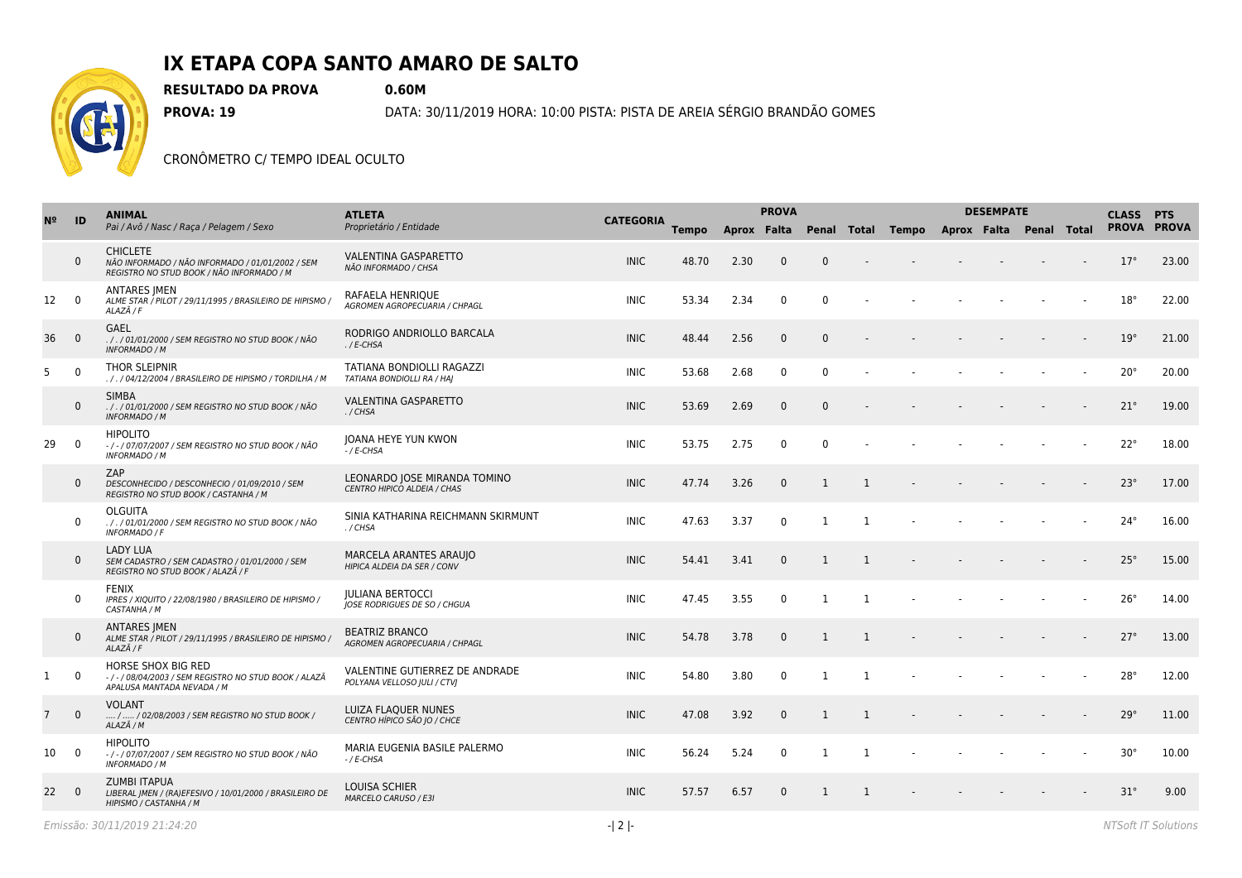

## **IX ETAPA COPA SANTO AMARO DE SALTO**

**RESULTADO DA PROVA 0.60M**

**PROVA: 19** DATA: 30/11/2019 HORA: 10:00 PISTA: PISTA DE AREIA SÉRGIO BRANDÃO GOMES

CRONÔMETRO C/ TEMPO IDEAL OCULTO

| N <sup>2</sup>  | ID             | <b>ANIMAL</b><br>Pai / Avô / Nasc / Raça / Pelagem / Sexo                                                        | <b>ATLETA</b>                                                  |                  |              |             | <b>PROVA</b> |                |                |                                           | <b>DESEMPATE</b> | <b>CLASS PTS</b> |              |       |
|-----------------|----------------|------------------------------------------------------------------------------------------------------------------|----------------------------------------------------------------|------------------|--------------|-------------|--------------|----------------|----------------|-------------------------------------------|------------------|------------------|--------------|-------|
|                 |                |                                                                                                                  | Proprietário / Entidade                                        | <b>CATEGORIA</b> | <b>Tempo</b> | Aprox Falta |              |                |                | Penal Total Tempo Aprox Falta Penal Total |                  |                  | PROVA PROVA  |       |
|                 | $\mathbf{0}$   | <b>CHICLETE</b><br>NÃO INFORMADO / NÃO INFORMADO / 01/01/2002 / SEM<br>REGISTRO NO STUD BOOK / NÃO INFORMADO / M | <b>VALENTINA GASPARETTO</b><br>NÃO INFORMADO / CHSA            | <b>INIC</b>      | 48.70        | 2.30        | $\mathbf{0}$ | $\mathbf{0}$   |                |                                           |                  |                  | 17°          | 23.00 |
| 12              | $\overline{0}$ | <b>ANTARES IMEN</b><br>ALME STAR / PILOT / 29/11/1995 / BRASILEIRO DE HIPISMO /<br>ALAZÃ / F                     | RAFAELA HENRIOUE<br><b>AGROMEN AGROPECUARIA / CHPAGL</b>       | <b>INIC</b>      | 53.34        | 2.34        | 0            | $\Omega$       |                |                                           |                  |                  | $18^{\circ}$ | 22.00 |
| 36              | $\overline{0}$ | GAEL<br>././01/01/2000/SEM REGISTRO NO STUD BOOK/NÃO<br><b>INFORMADO / M</b>                                     | RODRIGO ANDRIOLLO BARCALA<br>$.$ / E-CHSA                      | <b>INIC</b>      | 48.44        | 2.56        | $\mathbf{0}$ | $\Omega$       |                |                                           |                  |                  | $19^{\circ}$ | 21.00 |
| 5 <sub>1</sub>  | $\overline{0}$ | THOR SLEIPNIR<br>. / . / 04/12/2004 / BRASILEIRO DE HIPISMO / TORDILHA / M                                       | TATIANA BONDIOLLI RAGAZZI<br>TATIANA BONDIOLLI RA / HAJ        | <b>INIC</b>      | 53.68        | 2.68        | 0            | $\Omega$       |                |                                           |                  |                  | $20^{\circ}$ | 20.00 |
|                 | $\mathbf{0}$   | <b>SIMBA</b><br>././01/01/2000 / SEM REGISTRO NO STUD BOOK / NÃO<br><b>INFORMADO / M</b>                         | <b>VALENTINA GASPARETTO</b><br>./CHSA                          | <b>INIC</b>      | 53.69        | 2.69        | $\mathbf{0}$ | $\mathbf{0}$   |                |                                           |                  |                  | $21^{\circ}$ | 19.00 |
| 29              | $\mathbf 0$    | <b>HIPOLITO</b><br>-/-/07/07/2007 / SEM REGISTRO NO STUD BOOK / NÃO<br><b>INFORMADO / M</b>                      | JOANA HEYE YUN KWON<br>$-$ / E-CHSA                            | <b>INIC</b>      | 53.75        | 2.75        | 0            | $\Omega$       |                |                                           |                  |                  | $22^{\circ}$ | 18.00 |
|                 | $\mathbf{0}$   | ZAP<br>DESCONHECIDO / DESCONHECIO / 01/09/2010 / SEM<br>REGISTRO NO STUD BOOK / CASTANHA / M                     | LEONARDO JOSE MIRANDA TOMINO<br>CENTRO HIPICO ALDEIA / CHAS    | <b>INIC</b>      | 47.74        | 3.26        | $\mathbf{0}$ | $\mathbf{1}$   | $\overline{1}$ |                                           |                  |                  | $23^\circ$   | 17.00 |
|                 | $\mathbf 0$    | <b>OLGUITA</b><br>././01/01/2000 / SEM REGISTRO NO STUD BOOK / NÃO<br><b>INFORMADO / F</b>                       | SINIA KATHARINA REICHMANN SKIRMUNT<br>./CHSA                   | <b>INIC</b>      | 47.63        | 3.37        | 0            | 1              | 1              |                                           |                  |                  | $24^{\circ}$ | 16.00 |
|                 | $\mathbf{0}$   | <b>LADY LUA</b><br>SEM CADASTRO / SEM CADASTRO / 01/01/2000 / SEM<br>REGISTRO NO STUD BOOK / ALAZÃ / F           | MARCELA ARANTES ARAUJO<br>HIPICA ALDEIA DA SER / CONV          | <b>INIC</b>      | 54.41        | 3.41        | $\mathbf{0}$ | 1              | $\overline{1}$ |                                           |                  |                  | $25^\circ$   | 15.00 |
|                 | $\mathbf 0$    | <b>FENIX</b><br>IPRES / XIQUITO / 22/08/1980 / BRASILEIRO DE HIPISMO /<br>CASTANHA / M                           | <b>JULIANA BERTOCCI</b><br><b>JOSE RODRIGUES DE SO / CHGUA</b> | <b>INIC</b>      | 47.45        | 3.55        | $\mathbf 0$  | $\mathbf{1}$   | $\overline{1}$ |                                           |                  |                  | $26^{\circ}$ | 14.00 |
|                 | $\mathbf 0$    | <b>ANTARES IMEN</b><br>ALME STAR / PILOT / 29/11/1995 / BRASILEIRO DE HIPISMO /<br>ALAZÃ / F                     | <b>BEATRIZ BRANCO</b><br>AGROMEN AGROPECUARIA / CHPAGL         | <b>INIC</b>      | 54.78        | 3.78        | 0            | $\mathbf{1}$   | 1              |                                           |                  |                  | $27^\circ$   | 13.00 |
| $\mathbf{1}$    | $\mathbf 0$    | HORSE SHOX BIG RED<br>-/-/08/04/2003 / SEM REGISTRO NO STUD BOOK / ALAZÃ<br>APALUSA MANTADA NEVADA / M           | VALENTINE GUTIERREZ DE ANDRADE<br>POLYANA VELLOSO JULI / CTVJ  | <b>INIC</b>      | 54.80        | 3.80        | $\mathbf{0}$ | $\overline{1}$ | $\overline{1}$ |                                           |                  |                  | $28^\circ$   | 12.00 |
| $7\overline{ }$ | $\mathbf{0}$   | <b>VOLANT</b><br>/  / 02/08/2003 / SEM REGISTRO NO STUD BOOK /<br>ALAZÃ / M                                      | LUIZA FLAQUER NUNES<br>CENTRO HÍPICO SÃO JO / CHCE             | <b>INIC</b>      | 47.08        | 3.92        | $\mathbf{0}$ | $\mathbf{1}$   | $\mathbf{1}$   |                                           |                  |                  | 29°          | 11.00 |
| 10              | $\mathbf 0$    | <b>HIPOLITO</b><br>-/-/07/07/2007 / SEM REGISTRO NO STUD BOOK / NÃO<br><b>INFORMADO / M</b>                      | MARIA EUGENIA BASILE PALERMO<br>$-$ / E-CHSA                   | <b>INIC</b>      | 56.24        | 5.24        | 0            | 1              | 1              |                                           |                  |                  | $30^{\circ}$ | 10.00 |
| 22              | $\Omega$       | <b>ZUMBI ITAPUA</b><br>LIBERAL JMEN / (RA)EFESIVO / 10/01/2000 / BRASILEIRO DE<br>HIPISMO / CASTANHA / M         | <b>LOUISA SCHIER</b><br><b>MARCELO CARUSO / E3I</b>            | <b>INIC</b>      | 57.57        | 6.57        | $\Omega$     | $\overline{1}$ | $\mathbf{1}$   |                                           |                  |                  | $31^\circ$   | 9.00  |
|                 |                |                                                                                                                  |                                                                |                  |              |             |              |                |                |                                           |                  |                  |              |       |